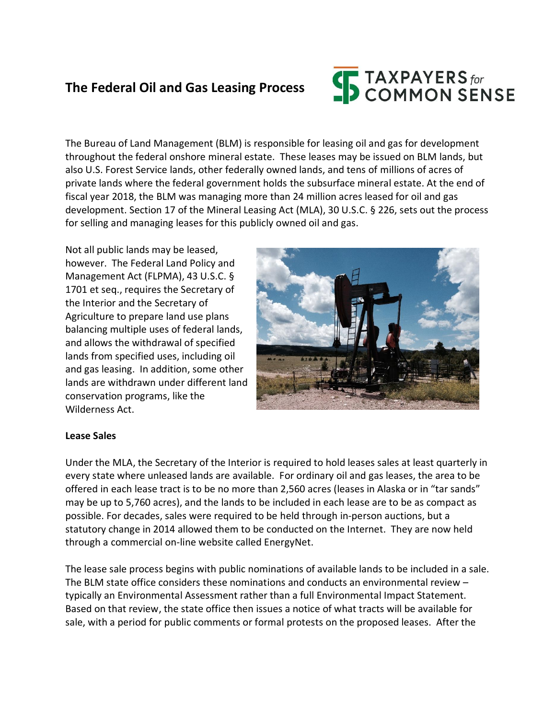## **The Federal Oil and Gas Leasing Process**

# **SEXPAYERS** for<br>SCOMMON SENSE

The Bureau of Land Management (BLM) is responsible for leasing oil and gas for development throughout the federal onshore mineral estate. These leases may be issued on BLM lands, but also U.S. Forest Service lands, other federally owned lands, and tens of millions of acres of private lands where the federal government holds the subsurface mineral estate. At the end of fiscal year 2018, the BLM was managing more than 24 million acres leased for oil and gas development. Section 17 of the Mineral Leasing Act (MLA), 30 U.S.C. § 226, sets out the process for selling and managing leases for this publicly owned oil and gas.

Not all public lands may be leased, however. The Federal Land Policy and Management Act (FLPMA), 43 U.S.C. § 1701 et seq., requires the Secretary of the Interior and the Secretary of Agriculture to prepare land use plans balancing multiple uses of federal lands, and allows the withdrawal of specified lands from specified uses, including oil and gas leasing. In addition, some other lands are withdrawn under different land conservation programs, like the Wilderness Act.



#### **Lease Sales**

Under the MLA, the Secretary of the Interior is required to hold leases sales at least quarterly in every state where unleased lands are available. For ordinary oil and gas leases, the area to be offered in each lease tract is to be no more than 2,560 acres (leases in Alaska or in "tar sands" may be up to 5,760 acres), and the lands to be included in each lease are to be as compact as possible. For decades, sales were required to be held through in-person auctions, but a statutory change in 2014 allowed them to be conducted on the Internet. They are now held through a commercial on-line website called EnergyNet.

The lease sale process begins with public nominations of available lands to be included in a sale. The BLM state office considers these nominations and conducts an environmental review – typically an Environmental Assessment rather than a full Environmental Impact Statement. Based on that review, the state office then issues a notice of what tracts will be available for sale, with a period for public comments or formal protests on the proposed leases. After the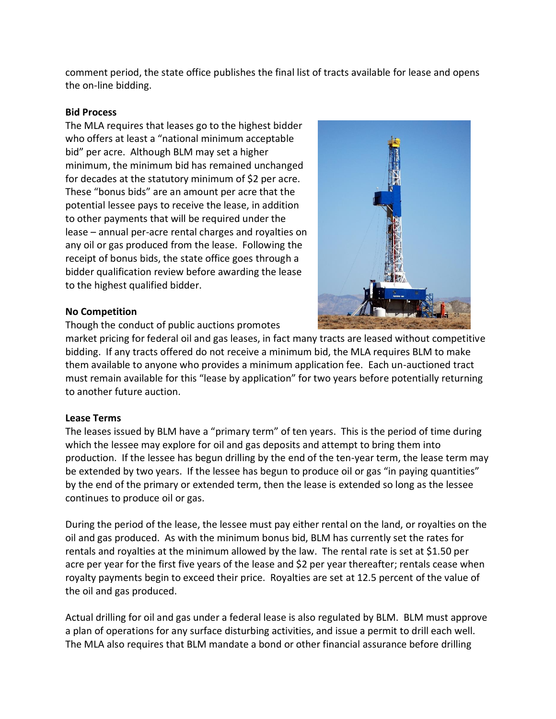comment period, the state office publishes the final list of tracts available for lease and opens the on-line bidding.

#### **Bid Process**

The MLA requires that leases go to the highest bidder who offers at least a "national minimum acceptable bid" per acre. Although BLM may set a higher minimum, the minimum bid has remained unchanged for decades at the statutory minimum of \$2 per acre. These "bonus bids" are an amount per acre that the potential lessee pays to receive the lease, in addition to other payments that will be required under the lease – annual per-acre rental charges and royalties on any oil or gas produced from the lease. Following the receipt of bonus bids, the state office goes through a bidder qualification review before awarding the lease to the highest qualified bidder.



#### **No Competition**

Though the conduct of public auctions promotes

market pricing for federal oil and gas leases, in fact many tracts are leased without competitive bidding. If any tracts offered do not receive a minimum bid, the MLA requires BLM to make them available to anyone who provides a minimum application fee. Each un-auctioned tract must remain available for this "lease by application" for two years before potentially returning to another future auction.

### **Lease Terms**

The leases issued by BLM have a "primary term" of ten years. This is the period of time during which the lessee may explore for oil and gas deposits and attempt to bring them into production. If the lessee has begun drilling by the end of the ten-year term, the lease term may be extended by two years. If the lessee has begun to produce oil or gas "in paying quantities" by the end of the primary or extended term, then the lease is extended so long as the lessee continues to produce oil or gas.

During the period of the lease, the lessee must pay either rental on the land, or royalties on the oil and gas produced. As with the minimum bonus bid, BLM has currently set the rates for rentals and royalties at the minimum allowed by the law. The rental rate is set at \$1.50 per acre per year for the first five years of the lease and \$2 per year thereafter; rentals cease when royalty payments begin to exceed their price. Royalties are set at 12.5 percent of the value of the oil and gas produced.

Actual drilling for oil and gas under a federal lease is also regulated by BLM. BLM must approve a plan of operations for any surface disturbing activities, and issue a permit to drill each well. The MLA also requires that BLM mandate a bond or other financial assurance before drilling